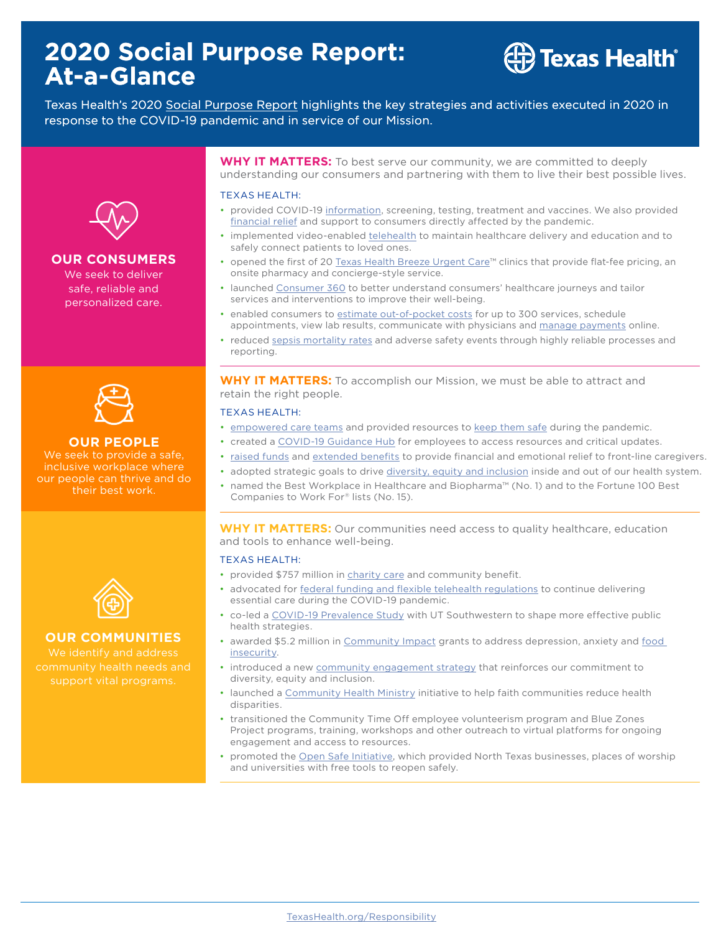# **2020 Social Purpose Report: At-a-Glance**

# $\hat{z}$  Texas Health $\hat{z}$

Texas Health's 2020 [Social Purpose Report](https://www.texashealth.org/responsibility/) highlights the key strategies and activities executed in 2020 in response to the COVID-19 pandemic and in service of our Mission.



## **OUR CONSUMERS**

We seek to deliver safe, reliable and personalized care.



**OUR PEOPLE**  We seek to provide a safe, inclusive workplace where our people can thrive and do

their best work.



# **OUR COMMUNITIES**

We identify and address support vital programs.

**WHY IT MATTERS:** To best serve our community, we are committed to deeply understanding our consumers and partnering with them to live their best possible lives.

#### TEXAS HEALTH:

- provided COVID-19 [information,](https://www.texashealth.org/responsibility/Our-Consumers/Resources-and-Support#COVIDHub) screening, testing, treatment and vaccines. We also provided [financial relief](https://www.texashealth.org/responsibility/Our-Consumers/Resources-and-Support#FinancialRelief) and support to consumers directly affected by the pandemic.
- implemented video-enabled [telehealth](https://www.texashealth.org/responsibility/Our-Consumers/Seamless-Care-Delivery#VirtualVisits) to maintain healthcare delivery and education and to safely connect patients to loved ones.
- opened the first of 20 [Texas Health Breeze Urgent Care](https://breezeurgentcare.texashealth.org/)™ clinics that provide flat-fee pricing, an onsite pharmacy and concierge-style service.
- launched [Consumer 360](https://www.texashealth.org/responsibility/Our-Consumers/Consumer-Insights) to better understand consumers' healthcare journeys and tailor services and interventions to improve their well-being.
- enabled consumers to [estimate out-of-pocket costs](https://www.texashealth.org/about-texas-health/insurance-and-costs/get-a-cost-estimate) for up to 300 services, schedule appointments, view lab results, communicate with physicians and [manage payments](https://www.texashealth.org/responsibility/Our-Consumers/Resources-and-Support#Payment) online.
- reduced [sepsis mortality rates](https://www.texashealth.org/responsibility/Our-Consumers/Reliable-Safe-and-Quality-Care#Sepsis) and adverse safety events through highly reliable processes and reporting.

**WHY IT MATTERS:** To accomplish our Mission, we must be able to attract and retain the right people.

#### TEXAS HEALTH:

- [empowered care teams](https://www.texashealth.org/responsibility/Our-Employees/Being-a-Great-Place-to-Work#Culture) and provided resources to [keep them safe](https://www.texashealth.org/responsibility/Our-Employees/Health-Wellness-and-Safety) during the pandemic.
- created a [COVID-19 Guidance Hub](https://www.texashealth.org/responsibility/Our-Consumers/Resources-and-Support#COVIDHub) for employees to access resources and critical updates.
- [raised funds](https://www.texashealth.org/responsibility/About-Texas-Health/A-Health-and-Well-Being-System#Heroes) and [extended benefits](https://www.texashealth.org/responsibility/Our-Employees/Compensation-and-Benefits#TakingCare) to provide financial and emotional relief to front-line caregivers.
- adopted strategic goals to drive [diversity, equity and inclusion](https://www.texashealth.org/responsibility/Our-Employees/Diversity-Equity-and-Inclusion#DrivingEquity) inside and out of our health system.
- named the Best Workplace in Healthcare and Biopharma™ (No. 1) and to the Fortune 100 Best Companies to Work For® lists (No. 15).

### **WHY IT MATTERS:** Our communities need access to quality healthcare, education and tools to enhance well-being.

#### TEXAS HEALTH:

- provided \$757 million in [charity care](https://www.texashealth.org/responsibility/Our-Communities/Community-Engagement#CharityCare) and community benefit.
- advocated for [federal funding and flexible telehealth regulations](https://www.texashealth.org/responsibility/Our-Communities/Government-Affairs-and-Advocacy) to continue delivering essential care during the COVID-19 pandemic.
- co-led a [COVID-19 Prevalence Study](https://www.texashealth.org/responsibility/Our-Communities/Assessing-Community-Health#PrevalenceStudy) with UT Southwestern to shape more effective public health strategies.
- awarded \$5.2 million in [Community Impact](https://www.texashealth.org/responsibility/Our-Communities/Improving-Community-Health) grants to address depression, anxiety and food insecurity.
- introduced a new [community engagement strategy](https://www.texashealth.org/responsibility/Our-Communities/Community-Engagement#DEI ) that reinforces our commitment to diversity, equity and inclusion.
- launched a [Community Health Ministry](https://www.texashealth.org/responsibility/Our-Communities/Improving-Community-Health#Ministry) initiative to help faith communities reduce health disparities.
- transitioned the Community Time Off employee volunteerism program and Blue Zones Project programs, training, workshops and other outreach to virtual platforms for ongoing engagement and access to resources.
- promoted the [Open Safe Initiative,](https://www.texashealth.org/Newsroom/News-Releases/2020/Texas-Health-Offers-Tools-to-Help-North-Texas-Businesses-Reopen-Safely) which provided North Texas businesses, places of worship and universities with free tools to reopen safely.